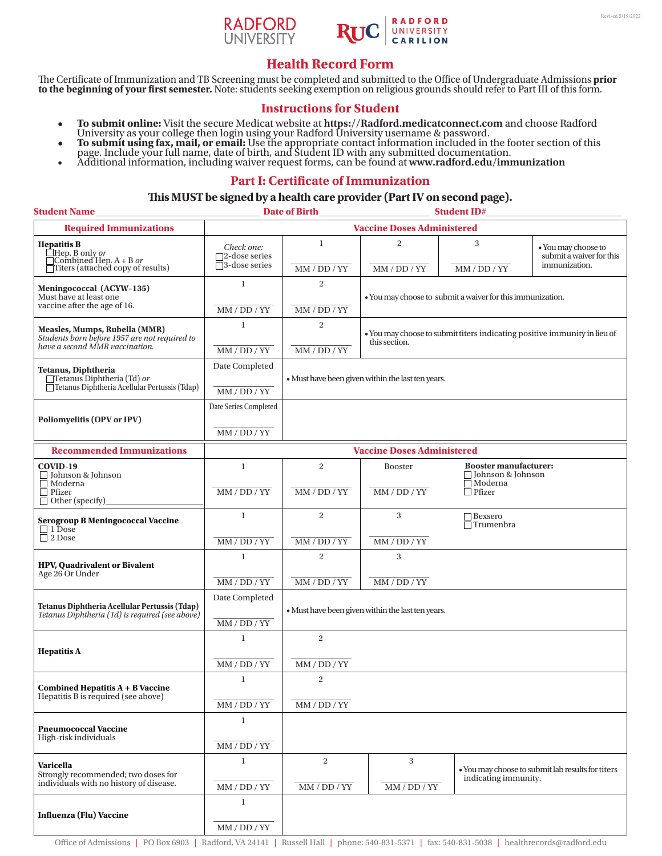



# **Health Record Form**

The Certificate of Immunization and TB Screening must be completed and submitted to the Office of Undergraduate Admissions **prior** to the beginning of your first semester. Note: students seeking exemption on religious grou

## **Instructions for Student**

- **• To submit online:** Visit the secure Medicat website at **https://Radford.medicatconnect.com** and choose Radford
- University as your college then login using your Radford University username & password.<br>
 To submit using fax, mail, or email: Use the appropriate contact information included in the footer section of this page. Include
- 

## **Part I: Certificate of Immunization**

### **This MUST be signed by a health care provider (Part IV on second page).**

| <b>Student Name</b>                                                                                                                                | <b>Date of Birth</b><br><b>Student ID#</b>                    |                                                   |                                                                                            |                                                                       |                                                                  |  |  |
|----------------------------------------------------------------------------------------------------------------------------------------------------|---------------------------------------------------------------|---------------------------------------------------|--------------------------------------------------------------------------------------------|-----------------------------------------------------------------------|------------------------------------------------------------------|--|--|
| <b>Required Immunizations</b>                                                                                                                      |                                                               | <b>Vaccine Doses Administered</b>                 |                                                                                            |                                                                       |                                                                  |  |  |
| <b>Hepatitis B</b><br><del>C</del><br><del>□ Hep. B</del> only <i>or</i><br>□ Combined Hep. A + B <i>or</i><br>□ Titers (attached copy of results) | Check one:<br>$\square$ 2-dose series<br>$\Box$ 3-dose series | 1<br>MM / DD / YY                                 | $\overline{2}$<br>MM / DD / YY                                                             | 3<br>MM / DD / YY                                                     | • You may choose to<br>submit a waiver for this<br>immunization. |  |  |
| Meningococcal (ACYW-135)<br>Must have at least one                                                                                                 | $\mathbf{1}$                                                  | $\overline{c}$                                    | • You may choose to submit a waiver for this immunization.                                 |                                                                       |                                                                  |  |  |
| vaccine after the age of 16.                                                                                                                       | MM / DD / YY                                                  | MM/DD/YY                                          |                                                                                            |                                                                       |                                                                  |  |  |
| Measles, Mumps, Rubella (MMR)<br>Students born before 1957 are not required to<br>have a second MMR vaccination.                                   | $\mathbf{1}$                                                  | $\overline{c}$                                    | • You may choose to submit titers indicating positive immunity in lieu of<br>this section. |                                                                       |                                                                  |  |  |
|                                                                                                                                                    | MM / DD / YY                                                  | MM / DD / YY                                      |                                                                                            |                                                                       |                                                                  |  |  |
| Tetanus, Diphtheria<br>□Tetanus Diphtheria (Td) or<br>□ Tetanus Diphtheria Acellular Pertussis (Tdap)                                              | Date Completed                                                |                                                   | • Must have been given within the last ten years.                                          |                                                                       |                                                                  |  |  |
|                                                                                                                                                    | $MM/DD/YY$                                                    |                                                   |                                                                                            |                                                                       |                                                                  |  |  |
| Poliomyelitis (OPV or IPV)                                                                                                                         | Date Series Completed                                         |                                                   |                                                                                            |                                                                       |                                                                  |  |  |
|                                                                                                                                                    | $MM/DD/YY$                                                    |                                                   |                                                                                            |                                                                       |                                                                  |  |  |
| <b>Recommended Immunizations</b>                                                                                                                   | <b>Vaccine Doses Administered</b>                             |                                                   |                                                                                            |                                                                       |                                                                  |  |  |
| COVID-19<br>□ Johnson & Johnson<br>$\Box$ Moderna<br>$\Box$ Pfizer<br>$\Box$ Other (specify)                                                       | $\mathbf{1}$                                                  | $\overline{2}$                                    | <b>Booster</b>                                                                             | <b>Booster manufacturer:</b><br>□ Johnson & Johnson<br>$\Box$ Moderna |                                                                  |  |  |
|                                                                                                                                                    | MM / DD / YY                                                  | MM/DD/YY                                          | MM / DD / YY                                                                               | $\Box$ Pfizer                                                         |                                                                  |  |  |
| <b>Serogroup B Meningococcal Vaccine</b><br>$\Box$ 1 Dose<br>$\Box$ 2 Dose                                                                         | $\mathbf{1}$                                                  | $\,2$                                             | 3                                                                                          | $\Box$ Bexsero<br>$\Box$ Trumenbra                                    |                                                                  |  |  |
|                                                                                                                                                    | MM / DD / YY                                                  | MM / DD / YY                                      | MM / DD / YY                                                                               |                                                                       |                                                                  |  |  |
| <b>HPV, Quadrivalent or Bivalent</b><br>Age 26 Or Under                                                                                            | $\mathbf{1}$                                                  | $\sqrt{2}$                                        | 3                                                                                          |                                                                       |                                                                  |  |  |
|                                                                                                                                                    | MM / DD / YY                                                  | $MM / DD / YY$                                    | $MM / DD / YY$                                                                             |                                                                       |                                                                  |  |  |
| Tetanus Diphtheria Acellular Pertussis (Tdap)<br>Tetanus Diphtheria (Td) is required (see above)                                                   | Date Completed                                                | • Must have been given within the last ten years. |                                                                                            |                                                                       |                                                                  |  |  |
|                                                                                                                                                    | MM / DD / YY                                                  |                                                   |                                                                                            |                                                                       |                                                                  |  |  |
| <b>Hepatitis A</b>                                                                                                                                 | $\mathbf{1}$                                                  | $\overline{2}$                                    |                                                                                            |                                                                       |                                                                  |  |  |
|                                                                                                                                                    | MM / DD / YY                                                  | MM / DD / YY                                      |                                                                                            |                                                                       |                                                                  |  |  |
| Combined Hepatitis $A + B$ Vaccine<br>Hepatitis B is required (see above)                                                                          | 1                                                             | 2                                                 |                                                                                            |                                                                       |                                                                  |  |  |
|                                                                                                                                                    | MM / DD / YY                                                  | MM / DD / YY                                      |                                                                                            |                                                                       |                                                                  |  |  |
| <b>Pneumococcal Vaccine</b><br>High-risk individuals                                                                                               | $\mathbf{1}$                                                  |                                                   |                                                                                            |                                                                       |                                                                  |  |  |
|                                                                                                                                                    | MM / DD / YY                                                  |                                                   |                                                                                            |                                                                       |                                                                  |  |  |
| Varicella<br>Strongly recommended; two doses for<br>individuals with no history of disease.                                                        | $\mathbf{1}$                                                  | 2                                                 | 3                                                                                          | indicating immunity.                                                  | • You may choose to submit lab results for titers                |  |  |
|                                                                                                                                                    | MM / DD / YY                                                  | $MM/DD/YY$                                        | MM / DD / YY                                                                               |                                                                       |                                                                  |  |  |
| <b>Influenza (Flu) Vaccine</b>                                                                                                                     | $\mathbf{1}$                                                  |                                                   |                                                                                            |                                                                       |                                                                  |  |  |
|                                                                                                                                                    | $MM/DD/YY$                                                    |                                                   |                                                                                            |                                                                       |                                                                  |  |  |

Office of Admissions | PO Box 6903 | Radford, VA 24141 | Russell Hall | phone: 540-831-5371 | fax: 540-831-5038 | healthrecords@radford.edu